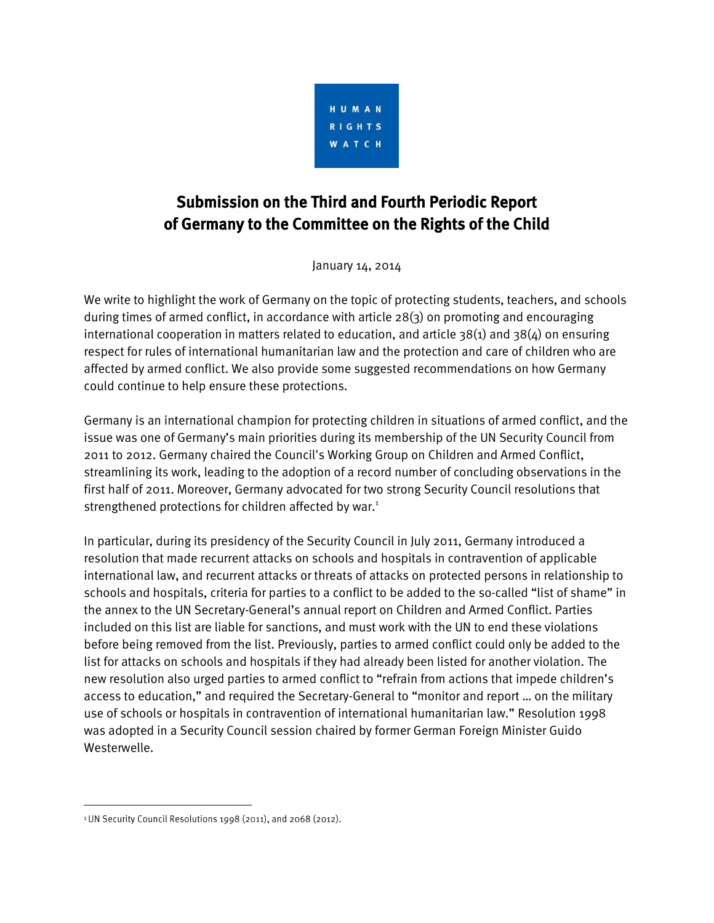

## Submission on the Third and Fourth Periodic Report of Germany to the Committee on the Rights of the Child

January 14, 2014

We write to highlight the work of Germany on the topic of protecting students, teachers, and schools during times of armed conflict, in accordance with article 28(3) on promoting and encouraging international cooperation in matters related to education, and article  $38(1)$  and  $38(4)$  on ensuring respect for rules of international humanitarian law and the protection and care of children who are affected by armed conflict. We also provide some suggested recommendations on how Germany could continue to help ensure these protections.

Germany is an international champion for protecting children in situations of armed conflict, and the issue was one of Germany's main priorities during its membership of the UN Security Council from 2011 to 2012. Germany chaired the Council's Working Group on Children and Armed Conflict, streamlining its work, leading to the adoption of a record number of concluding observations in the first half of 2011. Moreover, Germany advocated for two strong Security Council resolutions that strengthened protections for children affected by war.<sup>1</sup>

In particular, during its presidency of the Security Council in July 2011, Germany introduced a resolution that made recurrent attacks on schools and hospitals in contravention of applicable international law, and recurrent attacks or threats of attacks on protected persons in relationship to schools and hospitals, criteria for parties to a conflict to be added to the so-called "list of shame" in the annex to the UN Secretary-General's annual report on Children and Armed Conflict. Parties included on this list are liable for sanctions, and must work with the UN to end these violations before being removed from the list. Previously, parties to armed conflict could only be added to the list for attacks on schools and hospitals if they had already been listed for another violation. The new resolution also urged parties to armed conflict to "refrain from actions that impede children's access to education," and required the Secretary-General to "monitor and report … on the military use of schools or hospitals in contravention of international humanitarian law." Resolution 1998 was adopted in a Security Council session chaired by former German Foreign Minister Guido Westerwelle.

l

<sup>&</sup>lt;sup>1</sup> UN Security Council Resolutions 1998 (2011), and 2068 (2012).